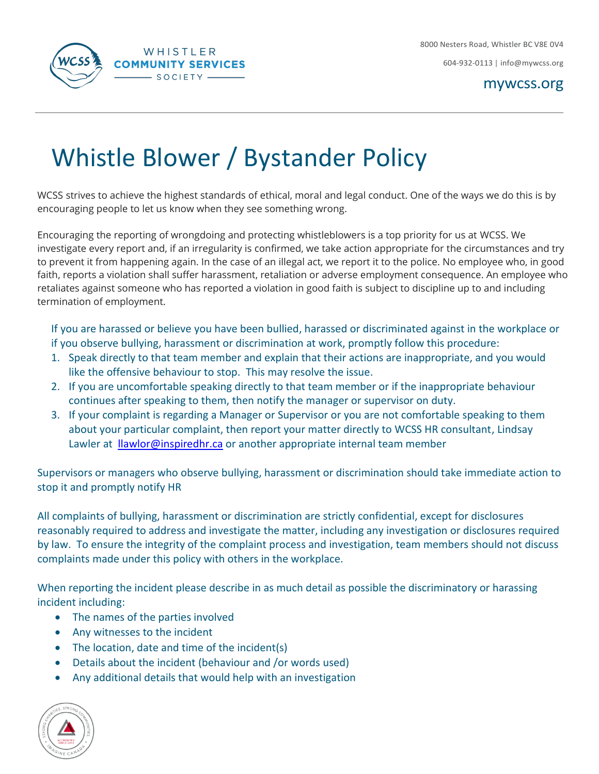

604-932-0113 | [info@mywcss.org](mailto:info@mywcss.org)

mywcss.org

## Whistle Blower / Bystander Policy

WCSS strives to achieve the highest standards of ethical, moral and legal conduct. One of the ways we do this is by encouraging people to let us know when they see something wrong.

Encouraging the reporting of wrongdoing and protecting whistleblowers is a top priority for us at WCSS. We investigate every report and, if an irregularity is confirmed, we take action appropriate for the circumstances and try to prevent it from happening again. In the case of an illegal act, we report it to the police. No employee who, in good faith, reports a violation shall suffer harassment, retaliation or adverse employment consequence. An employee who retaliates against someone who has reported a violation in good faith is subject to discipline up to and including termination of employment.

If you are harassed or believe you have been bullied, harassed or discriminated against in the workplace or if you observe bullying, harassment or discrimination at work, promptly follow this procedure:

- 1. Speak directly to that team member and explain that their actions are inappropriate, and you would like the offensive behaviour to stop. This may resolve the issue.
- 2. If you are uncomfortable speaking directly to that team member or if the inappropriate behaviour continues after speaking to them, then notify the manager or supervisor on duty.
- 3. If your complaint is regarding a Manager or Supervisor or you are not comfortable speaking to them about your particular complaint, then report your matter directly to WCSS HR consultant, Lindsay Lawler at *[llawlor@inspiredhr.ca](mailto:llawlor@inspiredhr.ca)* or another appropriate internal team member

Supervisors or managers who observe bullying, harassment or discrimination should take immediate action to stop it and promptly notify HR

All complaints of bullying, harassment or discrimination are strictly confidential, except for disclosures reasonably required to address and investigate the matter, including any investigation or disclosures required by law. To ensure the integrity of the complaint process and investigation, team members should not discuss complaints made under this policy with others in the workplace.

When reporting the incident please describe in as much detail as possible the discriminatory or harassing incident including:

- The names of the parties involved
- Any witnesses to the incident
- The location, date and time of the incident(s)
- Details about the incident (behaviour and /or words used)
- Any additional details that would help with an investigation